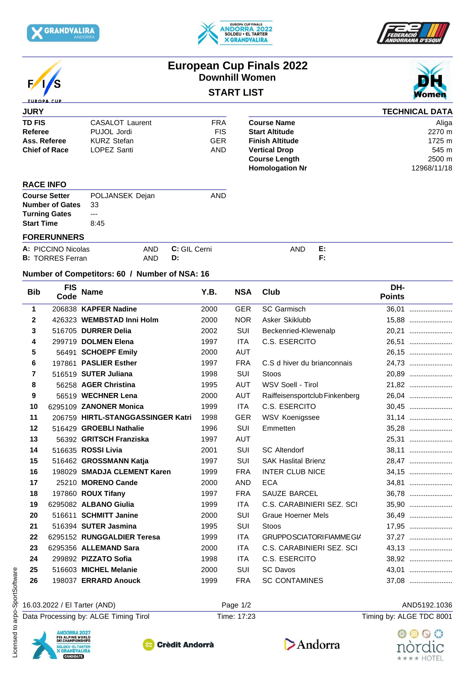







# **European Cup Finals 2022 Downhill Women**

## **START LIST**



#### **JURY TD FIS CASALOT** Laurent **FRA Referee** PUJOL Jordi FIS **Ass. Referee KURZ Stefan GER Finish Altitude Chief of Race** LOPEZ Santi **AND** Vertical Drop **TECHNICAL DATA Course Name** Aliga **Start Altitude** 2270 m **Finish Altitude** 1725 m **Vertical Drop** 545 m **Course Length 2500 m**<br> **Homologation Nr** 2968/11/18 **Homologation Nr**

#### **RACE INFO**

| <b>Course Setter</b>      | POLJANSEK Dejan | AND |
|---------------------------|-----------------|-----|
| <b>Number of Gates</b> 33 |                 |     |
| <b>Turning Gates</b>      | $--$            |     |
| <b>Start Time</b>         | 8:45            |     |
|                           |                 |     |

### **FORERUNNERS**

| A: PICCINO Nicolas              | AND | GIL<br>-<br>Cerni<br>u. | AND | . |
|---------------------------------|-----|-------------------------|-----|---|
| <b>B: TORRES Fe</b><br>Ferran ، | AND | υ.                      |     |   |

#### **Number of Competitors: 60 / Number of NSA: 16**

| <b>Bib</b>   | <b>FIS</b><br>Code                                                                                         | <b>Name</b>                           | Y.B. | <b>NSA</b>  | <b>Club</b>                    | DH-<br><b>Points</b>     |
|--------------|------------------------------------------------------------------------------------------------------------|---------------------------------------|------|-------------|--------------------------------|--------------------------|
| 1            |                                                                                                            | 206838 KAPFER Nadine                  | 2000 | <b>GER</b>  | SC Garmisch                    | 36.01                    |
| $\mathbf{2}$ |                                                                                                            | 426323 WEMBSTAD Inni Holm             | 2000 | <b>NOR</b>  | Asker Skiklubb                 | 15,88                    |
| 3            |                                                                                                            | 516705 DURRER Delia                   | 2002 | SUI         | Beckenried-Klewenalp           | 20,21                    |
| 4            |                                                                                                            | 299719 DOLMEN Elena                   | 1997 | ITA         | C.S. ESERCITO                  | 26,51                    |
| 5            |                                                                                                            | 56491 SCHOEPF Emily                   | 2000 | AUT         |                                | 26,15                    |
| 6            |                                                                                                            | 197861 PASLIER Esther                 | 1997 | <b>FRA</b>  | C.S d hiver du brianconnais    | 24,73                    |
| 7            |                                                                                                            | 516519 SUTER Juliana                  | 1998 | SUI         | Stoos                          | 20,89                    |
| 8            |                                                                                                            | 56258 AGER Christina                  | 1995 | AUT         | WSV Soell - Tirol              | 21,82                    |
| 9            |                                                                                                            | 56519 WECHNER Lena                    | 2000 | <b>AUT</b>  | Raiffeisensportclub Finkenberg | 26,04                    |
| 10           |                                                                                                            | 6295109 ZANONER Monica                | 1999 | <b>ITA</b>  | C.S. ESERCITO                  | 30,45                    |
| 11           |                                                                                                            | 206759 HIRTL-STANGGASSINGER Katri     | 1998 | <b>GER</b>  | WSV Koenigssee                 | 31,14                    |
| 12           |                                                                                                            | 516429 GROEBLI Nathalie               | 1996 | SUI         | Emmetten                       | 35,28                    |
| 13           |                                                                                                            | 56392 GRITSCH Franziska               | 1997 | <b>AUT</b>  |                                | 25,31                    |
| 14           |                                                                                                            | 516635 ROSSI Livia                    | 2001 | SUI         | <b>SC Altendorf</b>            | 38,11                    |
| 15           |                                                                                                            | 516462 GROSSMANN Katja                | 1997 | SUI         | <b>SAK Haslital Brienz</b>     | 28,47                    |
| 16           |                                                                                                            | 198029 SMADJA CLEMENT Karen           | 1999 | <b>FRA</b>  | <b>INTER CLUB NICE</b>         | 34,15                    |
| 17           |                                                                                                            | 25210 MORENO Cande                    | 2000 | AND         | <b>ECA</b>                     | 34,81                    |
| 18           |                                                                                                            | 197860 ROUX Tifany                    | 1997 | <b>FRA</b>  | SAUZE BARCEL                   | 36.78                    |
| 19           |                                                                                                            | 6295082 ALBANO Giulia                 | 1999 | <b>ITA</b>  | C.S. CARABINIERI SEZ. SCI      | 35,90                    |
| 20           |                                                                                                            | 516611 SCHMITT Janine                 | 2000 | SUI         | <b>Graue Hoerner Mels</b>      | 36,49                    |
| 21           |                                                                                                            | 516394 SUTER Jasmina                  | 1995 | SUI         | Stoos                          | 17,95                    |
| 22           |                                                                                                            | 6295152 RUNGGALDIER Teresa            | 1999 | <b>ITA</b>  | <b>GRUPPOSCIATORIFIAMMEGIA</b> | 37,27                    |
| 23           |                                                                                                            | 6295356 ALLEMAND Sara                 | 2000 | ITA.        | C.S. CARABINIERI SEZ. SCI      | 43,13                    |
| 24           |                                                                                                            | 299892 PIZZATO Sofia                  | 1998 | <b>ITA</b>  | C.S. ESERCITO                  | 38,92                    |
| 25           |                                                                                                            | 516603 MICHEL Melanie                 | 2000 | SUI         | <b>SC Davos</b>                | 43,01                    |
| 26           |                                                                                                            | 198037 ERRARD Anouck                  | 1999 | <b>FRA</b>  | <b>SC CONTAMINES</b>           | 37,08                    |
|              |                                                                                                            | 16.03.2022 / El Tarter (AND)          |      | Page 1/2    |                                | AND5192.1036             |
|              |                                                                                                            | Data Processing by: ALGE Timing Tirol |      | Time: 17:23 |                                | Timing by: ALGE TDC 8001 |
|              | <b>ANDORRA 2027</b><br>FIS ALPINE WORLD<br>SKI CHAMPIONSHIPS<br>SOLDEU · EL TARTER<br><b>X GRANDVALIRA</b> | <b>Crèdit Andorrà</b>                 |      |             | Andorra                        | nordic                   |